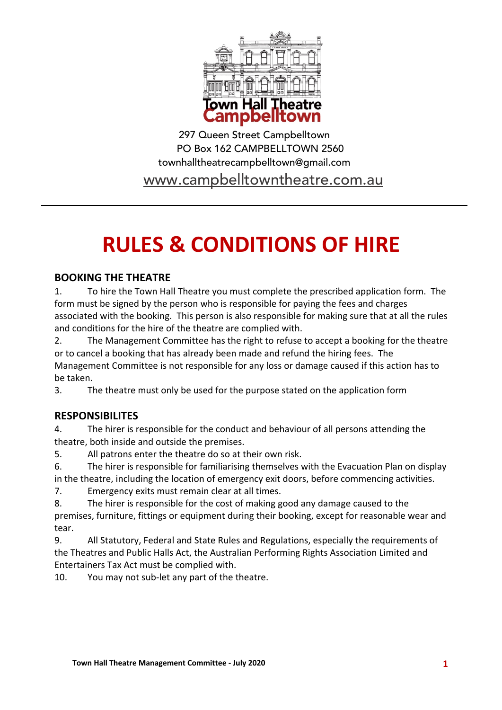

297 Queen Street Campbelltown PO Box 162 CAMPBELLTOWN 2560 townhalltheatrecampbelltown@gmail.com

www.campbelltowntheatre.com.au

# **RULES & CONDITIONS OF HIRE**

## **BOOKING THE THEATRE**

1. To hire the Town Hall Theatre you must complete the prescribed application form. The form must be signed by the person who is responsible for paying the fees and charges associated with the booking. This person is also responsible for making sure that at all the rules and conditions for the hire of the theatre are complied with.

2. The Management Committee has the right to refuse to accept a booking for the theatre or to cancel a booking that has already been made and refund the hiring fees. The Management Committee is not responsible for any loss or damage caused if this action has to be taken.

3. The theatre must only be used for the purpose stated on the application form

## **RESPONSIBILITES**

4. The hirer is responsible for the conduct and behaviour of all persons attending the theatre, both inside and outside the premises.

5. All patrons enter the theatre do so at their own risk.

6. The hirer is responsible for familiarising themselves with the Evacuation Plan on display in the theatre, including the location of emergency exit doors, before commencing activities.

7. Emergency exits must remain clear at all times.

8. The hirer is responsible for the cost of making good any damage caused to the premises, furniture, fittings or equipment during their booking, except for reasonable wear and tear.

9. All Statutory, Federal and State Rules and Regulations, especially the requirements of the Theatres and Public Halls Act, the Australian Performing Rights Association Limited and Entertainers Tax Act must be complied with.

10. You may not sub-let any part of the theatre.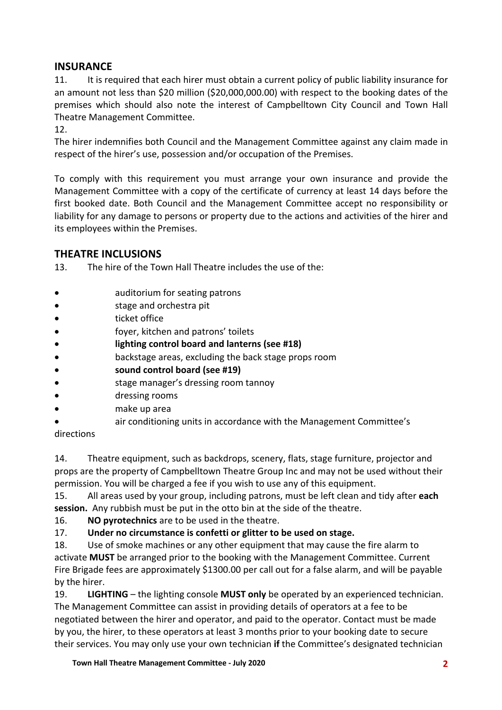## **INSURANCE**

11. It is required that each hirer must obtain a current policy of public liability insurance for an amount not less than \$20 million (\$20,000,000.00) with respect to the booking dates of the premises which should also note the interest of Campbelltown City Council and Town Hall Theatre Management Committee.

12.

The hirer indemnifies both Council and the Management Committee against any claim made in respect of the hirer's use, possession and/or occupation of the Premises.

To comply with this requirement you must arrange your own insurance and provide the Management Committee with a copy of the certificate of currency at least 14 days before the first booked date. Both Council and the Management Committee accept no responsibility or liability for any damage to persons or property due to the actions and activities of the hirer and its employees within the Premises.

## **THEATRE INCLUSIONS**

13. The hire of the Town Hall Theatre includes the use of the:

- auditorium for seating patrons
- stage and orchestra pit
- **ticket office**
- foyer, kitchen and patrons' toilets
- **lighting control board and lanterns (see #18)**
- backstage areas, excluding the back stage props room
- **sound control board (see #19)**
- stage manager's dressing room tannoy
- dressing rooms
- make up area
- air conditioning units in accordance with the Management Committee's

#### directions

14. Theatre equipment, such as backdrops, scenery, flats, stage furniture, projector and props are the property of Campbelltown Theatre Group Inc and may not be used without their permission. You will be charged a fee if you wish to use any of this equipment.

15. All areas used by your group, including patrons, must be left clean and tidy after **each session.** Any rubbish must be put in the otto bin at the side of the theatre.

#### 16. **NO pyrotechnics** are to be used in the theatre.

## 17. **Under no circumstance is confetti or glitter to be used on stage.**

18. Use of smoke machines or any other equipment that may cause the fire alarm to activate **MUST** be arranged prior to the booking with the Management Committee. Current Fire Brigade fees are approximately \$1300.00 per call out for a false alarm, and will be payable by the hirer.

19. **LIGHTING** – the lighting console **MUST only** be operated by an experienced technician. The Management Committee can assist in providing details of operators at a fee to be negotiated between the hirer and operator, and paid to the operator. Contact must be made by you, the hirer, to these operators at least 3 months prior to your booking date to secure their services. You may only use your own technician **if** the Committee's designated technician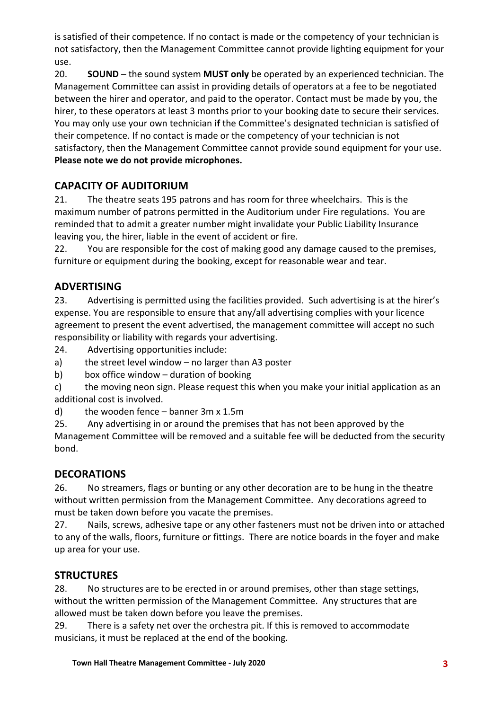is satisfied of their competence. If no contact is made or the competency of your technician is not satisfactory, then the Management Committee cannot provide lighting equipment for your use.

20. **SOUND** – the sound system **MUST only** be operated by an experienced technician. The Management Committee can assist in providing details of operators at a fee to be negotiated between the hirer and operator, and paid to the operator. Contact must be made by you, the hirer, to these operators at least 3 months prior to your booking date to secure their services. You may only use your own technician **if** the Committee's designated technician is satisfied of their competence. If no contact is made or the competency of your technician is not satisfactory, then the Management Committee cannot provide sound equipment for your use. **Please note we do not provide microphones.**

# **CAPACITY OF AUDITORIUM**

21. The theatre seats 195 patrons and has room for three wheelchairs. This is the maximum number of patrons permitted in the Auditorium under Fire regulations. You are reminded that to admit a greater number might invalidate your Public Liability Insurance leaving you, the hirer, liable in the event of accident or fire.

22. You are responsible for the cost of making good any damage caused to the premises, furniture or equipment during the booking, except for reasonable wear and tear.

# **ADVERTISING**

23. Advertising is permitted using the facilities provided. Such advertising is at the hirer's expense. You are responsible to ensure that any/all advertising complies with your licence agreement to present the event advertised, the management committee will accept no such responsibility or liability with regards your advertising.

24. Advertising opportunities include:

a) the street level window – no larger than A3 poster

b) box office window – duration of booking

c) the moving neon sign. Please request this when you make your initial application as an additional cost is involved.

d) the wooden fence – banner 3m x 1.5m

25. Any advertising in or around the premises that has not been approved by the Management Committee will be removed and a suitable fee will be deducted from the security bond.

## **DECORATIONS**

26. No streamers, flags or bunting or any other decoration are to be hung in the theatre without written permission from the Management Committee. Any decorations agreed to must be taken down before you vacate the premises.

27. Nails, screws, adhesive tape or any other fasteners must not be driven into or attached to any of the walls, floors, furniture or fittings. There are notice boards in the foyer and make up area for your use.

## **STRUCTURES**

28. No structures are to be erected in or around premises, other than stage settings, without the written permission of the Management Committee. Any structures that are allowed must be taken down before you leave the premises.

29. There is a safety net over the orchestra pit. If this is removed to accommodate musicians, it must be replaced at the end of the booking.